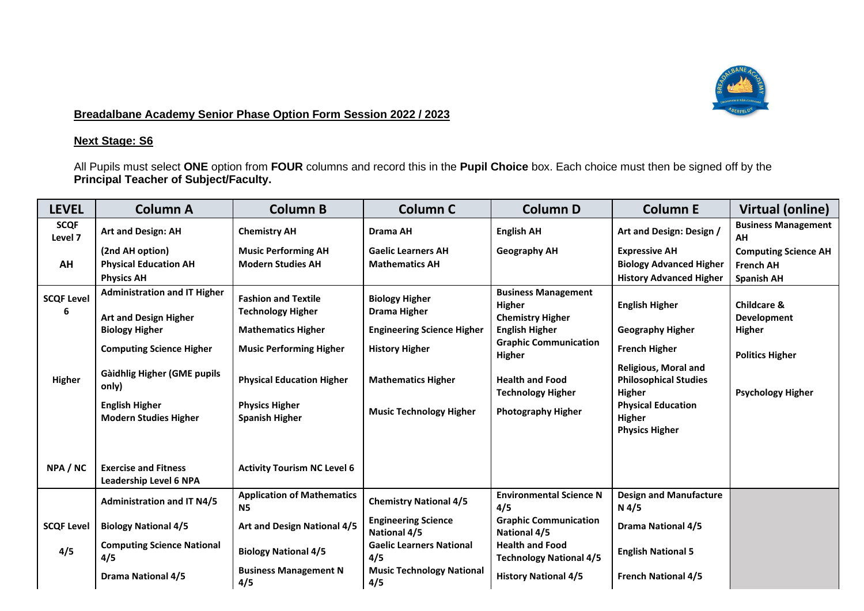

## **Breadalbane Academy Senior Phase Option Form Session 2022 / 2023**

## **Next Stage: S6**

All Pupils must select **ONE** option from **FOUR** columns and record this in the **Pupil Choice** box. Each choice must then be signed off by the **Principal Teacher of Subject/Faculty.**

| <b>LEVEL</b>                     | <b>Column A</b>                                                                                                                                                                                  | <b>Column B</b>                                                                                                                                                                    | <b>Column C</b>                                                                                                                         | <b>Column D</b>                                                                                                                                                                                        | <b>Column E</b>                                                                                                                                                                | <b>Virtual (online)</b>                                                                                      |
|----------------------------------|--------------------------------------------------------------------------------------------------------------------------------------------------------------------------------------------------|------------------------------------------------------------------------------------------------------------------------------------------------------------------------------------|-----------------------------------------------------------------------------------------------------------------------------------------|--------------------------------------------------------------------------------------------------------------------------------------------------------------------------------------------------------|--------------------------------------------------------------------------------------------------------------------------------------------------------------------------------|--------------------------------------------------------------------------------------------------------------|
| <b>SCQF</b><br>Level 7           | <b>Art and Design: AH</b>                                                                                                                                                                        | <b>Chemistry AH</b>                                                                                                                                                                | <b>Drama AH</b>                                                                                                                         | <b>English AH</b>                                                                                                                                                                                      | Art and Design: Design /                                                                                                                                                       | <b>Business Management</b><br>AH                                                                             |
|                                  | (2nd AH option)                                                                                                                                                                                  | <b>Music Performing AH</b>                                                                                                                                                         | <b>Gaelic Learners AH</b>                                                                                                               | <b>Geography AH</b>                                                                                                                                                                                    | <b>Expressive AH</b>                                                                                                                                                           | <b>Computing Science AH</b>                                                                                  |
| AH                               | <b>Physical Education AH</b>                                                                                                                                                                     | <b>Modern Studies AH</b>                                                                                                                                                           | <b>Mathematics AH</b>                                                                                                                   |                                                                                                                                                                                                        | <b>Biology Advanced Higher</b>                                                                                                                                                 | <b>French AH</b>                                                                                             |
|                                  | <b>Physics AH</b>                                                                                                                                                                                |                                                                                                                                                                                    |                                                                                                                                         |                                                                                                                                                                                                        | <b>History Advanced Higher</b>                                                                                                                                                 | <b>Spanish AH</b>                                                                                            |
| <b>SCQF Level</b><br>6<br>Higher | <b>Administration and IT Higher</b><br><b>Art and Design Higher</b><br><b>Biology Higher</b><br><b>Computing Science Higher</b><br>Gàidhlig Higher (GME pupils<br>only)<br><b>English Higher</b> | <b>Fashion and Textile</b><br><b>Technology Higher</b><br><b>Mathematics Higher</b><br><b>Music Performing Higher</b><br><b>Physical Education Higher</b><br><b>Physics Higher</b> | <b>Biology Higher</b><br><b>Drama Higher</b><br><b>Engineering Science Higher</b><br><b>History Higher</b><br><b>Mathematics Higher</b> | <b>Business Management</b><br><b>Higher</b><br><b>Chemistry Higher</b><br><b>English Higher</b><br><b>Graphic Communication</b><br><b>Higher</b><br><b>Health and Food</b><br><b>Technology Higher</b> | <b>English Higher</b><br><b>Geography Higher</b><br><b>French Higher</b><br><b>Religious, Moral and</b><br><b>Philosophical Studies</b><br>Higher<br><b>Physical Education</b> | <b>Childcare &amp;</b><br>Development<br><b>Higher</b><br><b>Politics Higher</b><br><b>Psychology Higher</b> |
| NPA / NC                         | <b>Modern Studies Higher</b><br><b>Exercise and Fitness</b><br>Leadership Level 6 NPA                                                                                                            | <b>Spanish Higher</b><br><b>Activity Tourism NC Level 6</b>                                                                                                                        | <b>Music Technology Higher</b>                                                                                                          | <b>Photography Higher</b>                                                                                                                                                                              | Higher<br><b>Physics Higher</b>                                                                                                                                                |                                                                                                              |
|                                  | <b>Administration and IT N4/5</b>                                                                                                                                                                | <b>Application of Mathematics</b><br><b>N5</b>                                                                                                                                     | <b>Chemistry National 4/5</b>                                                                                                           | <b>Environmental Science N</b><br>4/5                                                                                                                                                                  | <b>Design and Manufacture</b><br>$N$ 4/5                                                                                                                                       |                                                                                                              |
| <b>SCQF Level</b>                | <b>Biology National 4/5</b>                                                                                                                                                                      | Art and Design National 4/5                                                                                                                                                        | <b>Engineering Science</b><br><b>National 4/5</b>                                                                                       | <b>Graphic Communication</b><br><b>National 4/5</b>                                                                                                                                                    | <b>Drama National 4/5</b>                                                                                                                                                      |                                                                                                              |
| 4/5                              | <b>Computing Science National</b><br>4/5                                                                                                                                                         | <b>Biology National 4/5</b>                                                                                                                                                        | <b>Gaelic Learners National</b><br>4/5                                                                                                  | <b>Health and Food</b><br><b>Technology National 4/5</b>                                                                                                                                               | <b>English National 5</b>                                                                                                                                                      |                                                                                                              |
|                                  | <b>Drama National 4/5</b>                                                                                                                                                                        | <b>Business Management N</b><br>4/5                                                                                                                                                | <b>Music Technology National</b><br>4/5                                                                                                 | <b>History National 4/5</b>                                                                                                                                                                            | <b>French National 4/5</b>                                                                                                                                                     |                                                                                                              |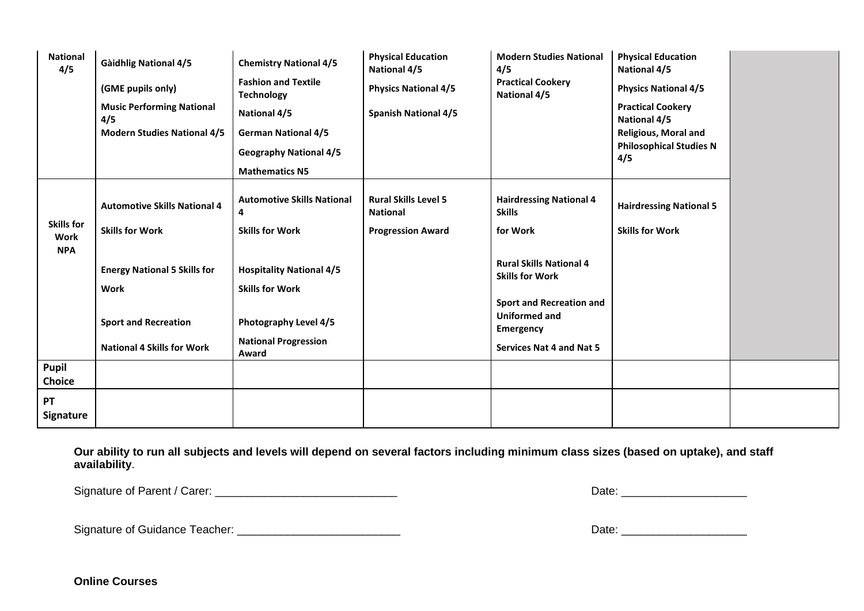| <b>National</b><br>4/5                  | <b>Gàidhlig National 4/5</b><br>(GME pupils only)<br><b>Music Performing National</b><br>4/5<br><b>Modern Studies National 4/5</b> | <b>Chemistry National 4/5</b><br><b>Fashion and Textile</b><br><b>Technology</b><br><b>National 4/5</b><br><b>German National 4/5</b><br><b>Geography National 4/5</b><br><b>Mathematics N5</b> | <b>Physical Education</b><br><b>National 4/5</b><br><b>Physics National 4/5</b><br><b>Spanish National 4/5</b> | <b>Modern Studies National</b><br>4/5<br><b>Practical Cookery</b><br><b>National 4/5</b>                                                                                           | <b>Physical Education</b><br><b>National 4/5</b><br><b>Physics National 4/5</b><br><b>Practical Cookery</b><br><b>National 4/5</b><br><b>Religious, Moral and</b><br><b>Philosophical Studies N</b><br>4/5 |  |
|-----------------------------------------|------------------------------------------------------------------------------------------------------------------------------------|-------------------------------------------------------------------------------------------------------------------------------------------------------------------------------------------------|----------------------------------------------------------------------------------------------------------------|------------------------------------------------------------------------------------------------------------------------------------------------------------------------------------|------------------------------------------------------------------------------------------------------------------------------------------------------------------------------------------------------------|--|
| <b>Skills for</b><br>Work<br><b>NPA</b> | <b>Automotive Skills National 4</b><br><b>Skills for Work</b><br><b>Energy National 5 Skills for</b><br><b>Work</b>                | <b>Automotive Skills National</b><br>4<br><b>Skills for Work</b><br><b>Hospitality National 4/5</b><br><b>Skills for Work</b>                                                                   | <b>Rural Skills Level 5</b><br><b>National</b><br><b>Progression Award</b>                                     | <b>Hairdressing National 4</b><br><b>Skills</b><br>for Work<br><b>Rural Skills National 4</b><br><b>Skills for Work</b><br><b>Sport and Recreation and</b><br><b>Uniformed and</b> | <b>Hairdressing National 5</b><br><b>Skills for Work</b>                                                                                                                                                   |  |
|                                         | <b>Sport and Recreation</b><br><b>National 4 Skills for Work</b>                                                                   | Photography Level 4/5<br><b>National Progression</b><br>Award                                                                                                                                   |                                                                                                                | Emergency<br><b>Services Nat 4 and Nat 5</b>                                                                                                                                       |                                                                                                                                                                                                            |  |
| Pupil<br><b>Choice</b>                  |                                                                                                                                    |                                                                                                                                                                                                 |                                                                                                                |                                                                                                                                                                                    |                                                                                                                                                                                                            |  |
| PT<br>Signature                         |                                                                                                                                    |                                                                                                                                                                                                 |                                                                                                                |                                                                                                                                                                                    |                                                                                                                                                                                                            |  |

**Our ability to run all subjects and levels will depend on several factors including minimum class sizes (based on uptake), and staff availability**.

Signature of Parent / Carer: \_\_\_\_\_\_\_\_\_\_\_\_\_\_\_\_\_\_\_\_\_\_\_\_\_\_\_\_\_ Date: \_\_\_\_\_\_\_\_\_\_\_\_\_\_\_\_\_\_\_\_

Signature of Guidance Teacher: \_\_\_\_\_\_\_\_\_\_\_\_\_\_\_\_\_\_\_\_\_\_\_\_\_\_ Date: \_\_\_\_\_\_\_\_\_\_\_\_\_\_\_\_\_\_\_\_